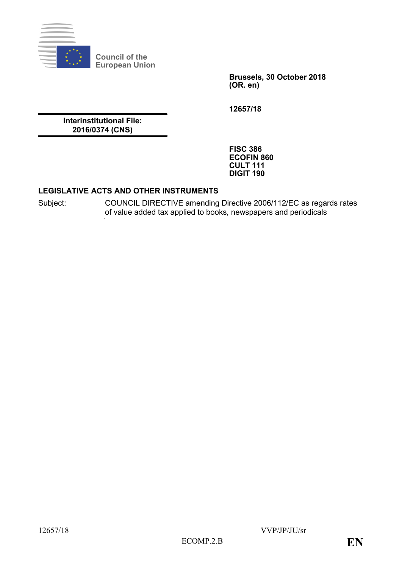

**Council of the European Union**

> **Brussels, 30 October 2018 (OR. en)**

**12657/18**

**Interinstitutional File: 2016/0374 (CNS)**

> **FISC 386 ECOFIN 860 CULT 111 DIGIT 190**

### **LEGISLATIVE ACTS AND OTHER INSTRUMENTS**

Subject: COUNCIL DIRECTIVE amending Directive 2006/112/EC as regards rates of value added tax applied to books, newspapers and periodicals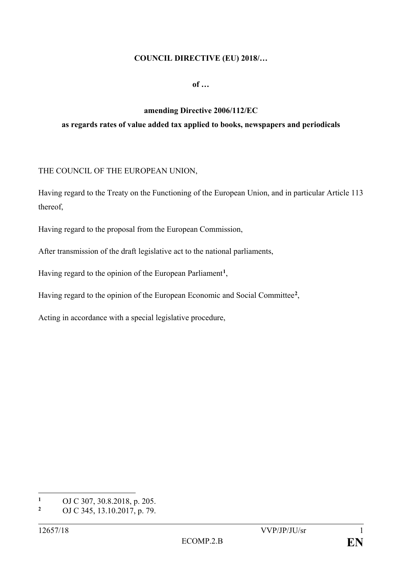### **COUNCIL DIRECTIVE (EU) 2018/…**

**of …**

# **amending Directive 2006/112/EC as regards rates of value added tax applied to books, newspapers and periodicals**

## THE COUNCIL OF THE EUROPEAN UNION,

Having regard to the Treaty on the Functioning of the European Union, and in particular Article 113 thereof,

Having regard to the proposal from the European Commission,

After transmission of the draft legislative act to the national parliaments,

Having regard to the opinion of the European Parliament**[1](#page-1-0)**,

Having regard to the opinion of the European Economic and Social Committee**[2](#page-1-1)**,

Acting in accordance with a special legislative procedure,

<span id="page-1-0"></span> $\mathbf{1}$ <sup>1</sup> OJ C 307, 30.8.2018, p. 205.

<span id="page-1-1"></span>**<sup>2</sup>** OJ C 345, 13.10.2017, p. 79.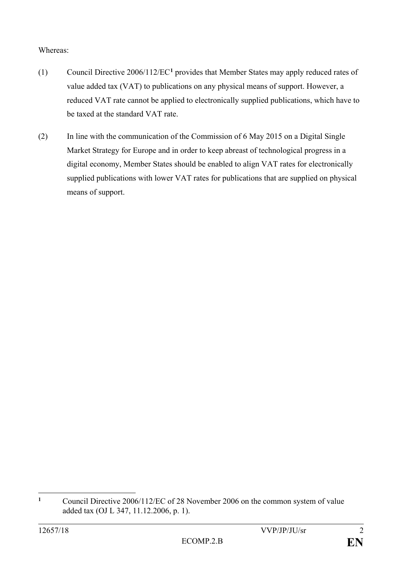Whereas:

- (1) Council Directive 2006/112/EC**[1](#page-2-0)** provides that Member States may apply reduced rates of value added tax (VAT) to publications on any physical means of support. However, a reduced VAT rate cannot be applied to electronically supplied publications, which have to be taxed at the standard VAT rate.
- (2) In line with the communication of the Commission of 6 May 2015 on a Digital Single Market Strategy for Europe and in order to keep abreast of technological progress in a digital economy, Member States should be enabled to align VAT rates for electronically supplied publications with lower VAT rates for publications that are supplied on physical means of support.

<span id="page-2-0"></span> $\mathbf{1}$ **<sup>1</sup>** Council Directive 2006/112/EC of 28 November 2006 on the common system of value added tax (OJ L 347, 11.12.2006, p. 1).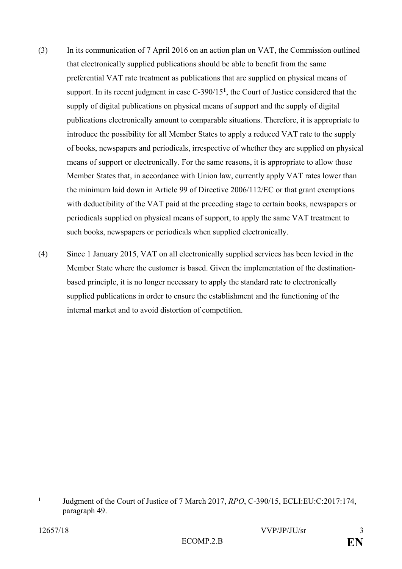- (3) In its communication of 7 April 2016 on an action plan on VAT, the Commission outlined that electronically supplied publications should be able to benefit from the same preferential VAT rate treatment as publications that are supplied on physical means of support. In its recent judgment in case C-390/15**[1](#page-3-0)** , the Court of Justice considered that the supply of digital publications on physical means of support and the supply of digital publications electronically amount to comparable situations. Therefore, it is appropriate to introduce the possibility for all Member States to apply a reduced VAT rate to the supply of books, newspapers and periodicals, irrespective of whether they are supplied on physical means of support or electronically. For the same reasons, it is appropriate to allow those Member States that, in accordance with Union law, currently apply VAT rates lower than the minimum laid down in Article 99 of Directive 2006/112/EC or that grant exemptions with deductibility of the VAT paid at the preceding stage to certain books, newspapers or periodicals supplied on physical means of support, to apply the same VAT treatment to such books, newspapers or periodicals when supplied electronically.
- (4) Since 1 January 2015, VAT on all electronically supplied services has been levied in the Member State where the customer is based. Given the implementation of the destinationbased principle, it is no longer necessary to apply the standard rate to electronically supplied publications in order to ensure the establishment and the functioning of the internal market and to avoid distortion of competition.

<span id="page-3-0"></span> $\mathbf{1}$ **<sup>1</sup>** Judgment of the Court of Justice of 7 March 2017, *RPO*, C-390/15, ECLI:EU:C:2017:174, paragraph 49.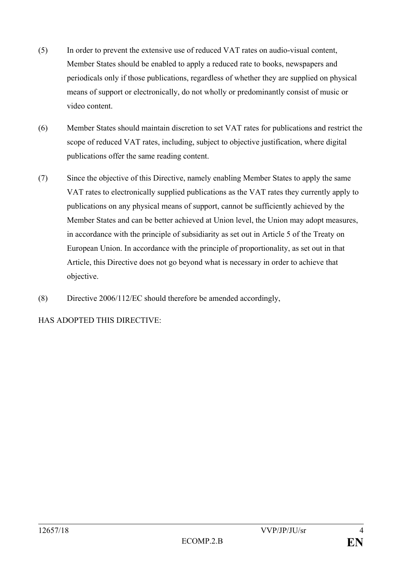- (5) In order to prevent the extensive use of reduced VAT rates on audio-visual content, Member States should be enabled to apply a reduced rate to books, newspapers and periodicals only if those publications, regardless of whether they are supplied on physical means of support or electronically, do not wholly or predominantly consist of music or video content.
- (6) Member States should maintain discretion to set VAT rates for publications and restrict the scope of reduced VAT rates, including, subject to objective justification, where digital publications offer the same reading content.
- (7) Since the objective of this Directive, namely enabling Member States to apply the same VAT rates to electronically supplied publications as the VAT rates they currently apply to publications on any physical means of support, cannot be sufficiently achieved by the Member States and can be better achieved at Union level, the Union may adopt measures, in accordance with the principle of subsidiarity as set out in Article 5 of the Treaty on European Union. In accordance with the principle of proportionality, as set out in that Article, this Directive does not go beyond what is necessary in order to achieve that objective.
- (8) Directive 2006/112/EC should therefore be amended accordingly,

HAS ADOPTED THIS DIRECTIVE: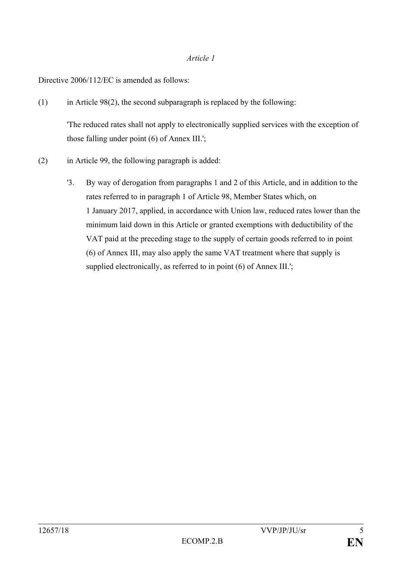#### *Article 1*

Directive 2006/112/EC is amended as follows:

(1) in Article 98(2), the second subparagraph is replaced by the following:

'The reduced rates shall not apply to electronically supplied services with the exception of those falling under point (6) of Annex III.';

- (2) in Article 99, the following paragraph is added:
	- '3. By way of derogation from paragraphs 1 and 2 of this Article, and in addition to the rates referred to in paragraph 1 of Article 98, Member States which, on 1 January 2017, applied, in accordance with Union law, reduced rates lower than the minimum laid down in this Article or granted exemptions with deductibility of the VAT paid at the preceding stage to the supply of certain goods referred to in point (6) of Annex III, may also apply the same VAT treatment where that supply is supplied electronically, as referred to in point (6) of Annex III.';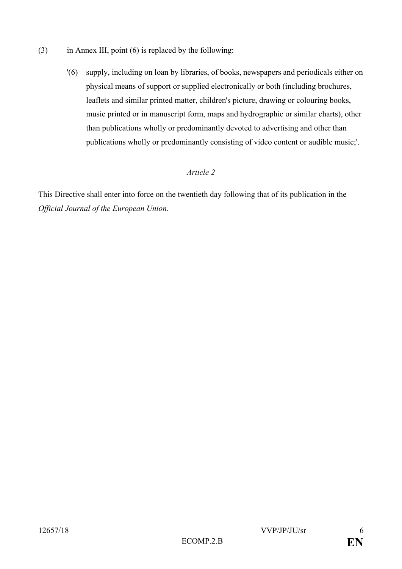- (3) in Annex III, point (6) is replaced by the following:
	- '(6) supply, including on loan by libraries, of books, newspapers and periodicals either on physical means of support or supplied electronically or both (including brochures, leaflets and similar printed matter, children's picture, drawing or colouring books, music printed or in manuscript form, maps and hydrographic or similar charts), other than publications wholly or predominantly devoted to advertising and other than publications wholly or predominantly consisting of video content or audible music;'.

# *Article 2*

This Directive shall enter into force on the twentieth day following that of its publication in the *Official Journal of the European Union*.